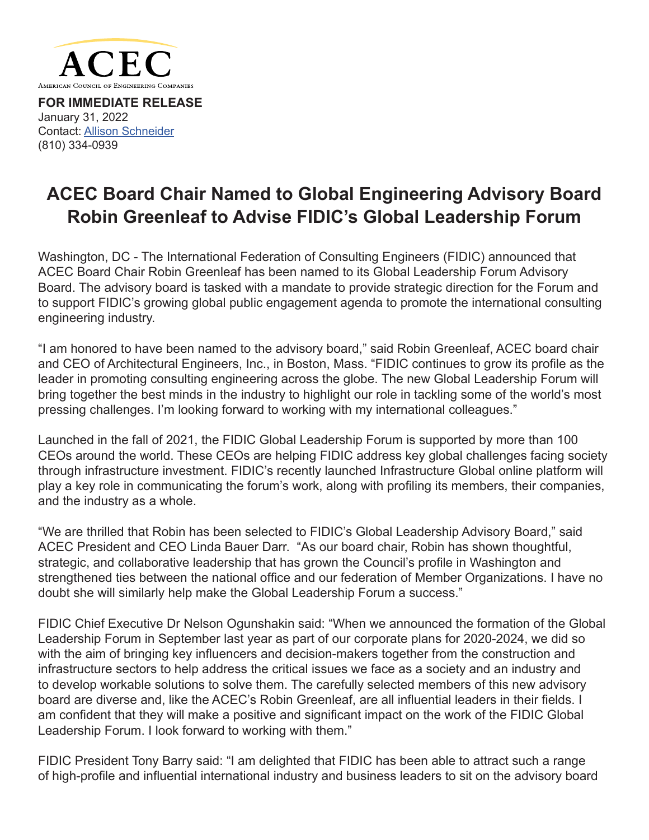

**FOR IMMEDIATE RELEASE** January 31, 2022 Contact: [Allison Schneider](mailto:aschneider%40acec.org?subject=) [\(810\) 334-0939](mailto:?subject=)

## **ACEC Board Chair Named to Global Engineering Advisory Board Robin Greenleaf to Advise FIDIC's Global Leadership Forum**

Washington, DC - The International Federation of Consulting Engineers (FIDIC) announced that ACEC Board Chair Robin Greenleaf has been named to its Global Leadership Forum Advisory Board. The advisory board is tasked with a mandate to provide strategic direction for the Forum and to support FIDIC's growing global public engagement agenda to promote the international consulting engineering industry.

"I am honored to have been named to the advisory board," said Robin Greenleaf, ACEC board chair and CEO of Architectural Engineers, Inc., in Boston, Mass. "FIDIC continues to grow its profile as the leader in promoting consulting engineering across the globe. The new Global Leadership Forum will bring together the best minds in the industry to highlight our role in tackling some of the world's most pressing challenges. I'm looking forward to working with my international colleagues."

Launched in the fall of 2021, the FIDIC Global Leadership Forum is supported by more than 100 CEOs around the world. These CEOs are helping FIDIC address key global challenges facing society through infrastructure investment. FIDIC's recently launched Infrastructure Global online platform will play a key role in communicating the forum's work, along with profiling its members, their companies, and the industry as a whole.

"We are thrilled that Robin has been selected to FIDIC's Global Leadership Advisory Board," said ACEC President and CEO Linda Bauer Darr. "As our board chair, Robin has shown thoughtful, strategic, and collaborative leadership that has grown the Council's profile in Washington and strengthened ties between the national office and our federation of Member Organizations. I have no doubt she will similarly help make the Global Leadership Forum a success."

FIDIC Chief Executive Dr Nelson Ogunshakin said: "When we announced the formation of the Global Leadership Forum in September last year as part of our corporate plans for 2020-2024, we did so with the aim of bringing key influencers and decision-makers together from the construction and infrastructure sectors to help address the critical issues we face as a society and an industry and to develop workable solutions to solve them. The carefully selected members of this new advisory board are diverse and, like the ACEC's Robin Greenleaf, are all influential leaders in their fields. I am confident that they will make a positive and significant impact on the work of the FIDIC Global Leadership Forum. I look forward to working with them."

FIDIC President Tony Barry said: "I am delighted that FIDIC has been able to attract such a range of high-profile and influential international industry and business leaders to sit on the advisory board